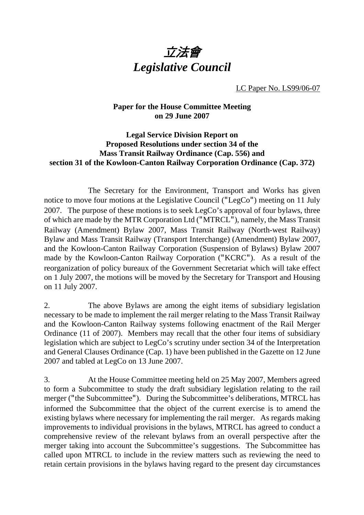

LC Paper No. LS99/06-07

## **Paper for the House Committee Meeting on 29 June 2007**

## **Legal Service Division Report on Proposed Resolutions under section 34 of the Mass Transit Railway Ordinance (Cap. 556) and section 31 of the Kowloon-Canton Railway Corporation Ordinance (Cap. 372)**

 The Secretary for the Environment, Transport and Works has given notice to move four motions at the Legislative Council ("LegCo") meeting on 11 July 2007. The purpose of these motions is to seek LegCo's approval of four bylaws, three of which are made by the MTR Corporation Ltd ("MTRCL"), namely, the Mass Transit Railway (Amendment) Bylaw 2007, Mass Transit Railway (North-west Railway) Bylaw and Mass Transit Railway (Transport Interchange) (Amendment) Bylaw 2007, and the Kowloon-Canton Railway Corporation (Suspension of Bylaws) Bylaw 2007 made by the Kowloon-Canton Railway Corporation ("KCRC"). As a result of the reorganization of policy bureaux of the Government Secretariat which will take effect on 1 July 2007, the motions will be moved by the Secretary for Transport and Housing on 11 July 2007.

2. The above Bylaws are among the eight items of subsidiary legislation necessary to be made to implement the rail merger relating to the Mass Transit Railway and the Kowloon-Canton Railway systems following enactment of the Rail Merger Ordinance (11 of 2007). Members may recall that the other four items of subsidiary legislation which are subject to LegCo's scrutiny under section 34 of the Interpretation and General Clauses Ordinance (Cap. 1) have been published in the Gazette on 12 June 2007 and tabled at LegCo on 13 June 2007.

3. At the House Committee meeting held on 25 May 2007, Members agreed to form a Subcommittee to study the draft subsidiary legislation relating to the rail merger ("the Subcommittee"). During the Subcommittee's deliberations, MTRCL has informed the Subcommittee that the object of the current exercise is to amend the existing bylaws where necessary for implementing the rail merger. As regards making improvements to individual provisions in the bylaws, MTRCL has agreed to conduct a comprehensive review of the relevant bylaws from an overall perspective after the merger taking into account the Subcommittee's suggestions. The Subcommittee has called upon MTRCL to include in the review matters such as reviewing the need to retain certain provisions in the bylaws having regard to the present day circumstances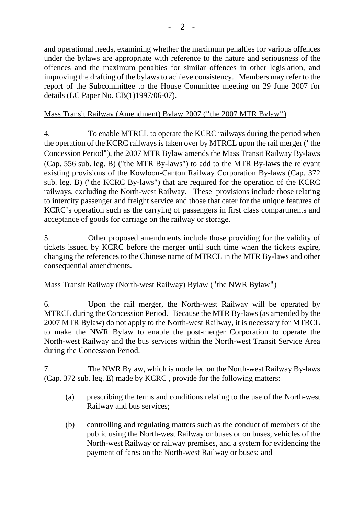and operational needs, examining whether the maximum penalties for various offences under the bylaws are appropriate with reference to the nature and seriousness of the offences and the maximum penalties for similar offences in other legislation, and improving the drafting of the bylaws to achieve consistency. Members may refer to the report of the Subcommittee to the House Committee meeting on 29 June 2007 for details (LC Paper No. CB(1)1997/06-07).

# Mass Transit Railway (Amendment) Bylaw 2007 ("the 2007 MTR Bylaw")

4. To enable MTRCL to operate the KCRC railways during the period when the operation of the KCRC railways is taken over by MTRCL upon the rail merger ("the Concession Period"), the 2007 MTR Bylaw amends the Mass Transit Railway By-laws (Cap. 556 sub. leg. B) ("the MTR By-laws") to add to the MTR By-laws the relevant existing provisions of the Kowloon-Canton Railway Corporation By-laws (Cap. 372 sub. leg. B) ("the KCRC By-laws") that are required for the operation of the KCRC railways, excluding the North-west Railway. These provisions include those relating to intercity passenger and freight service and those that cater for the unique features of KCRC's operation such as the carrying of passengers in first class compartments and acceptance of goods for carriage on the railway or storage.

5. Other proposed amendments include those providing for the validity of tickets issued by KCRC before the merger until such time when the tickets expire, changing the references to the Chinese name of MTRCL in the MTR By-laws and other consequential amendments.

## Mass Transit Railway (North-west Railway) Bylaw ("the NWR Bylaw")

6. Upon the rail merger, the North-west Railway will be operated by MTRCL during the Concession Period. Because the MTR By-laws (as amended by the 2007 MTR Bylaw) do not apply to the North-west Railway, it is necessary for MTRCL to make the NWR Bylaw to enable the post-merger Corporation to operate the North-west Railway and the bus services within the North-west Transit Service Area during the Concession Period.

7. The NWR Bylaw, which is modelled on the North-west Railway By-laws (Cap. 372 sub. leg. E) made by KCRC , provide for the following matters:

- (a) prescribing the terms and conditions relating to the use of the North-west Railway and bus services;
- (b) controlling and regulating matters such as the conduct of members of the public using the North-west Railway or buses or on buses, vehicles of the North-west Railway or railway premises, and a system for evidencing the payment of fares on the North-west Railway or buses; and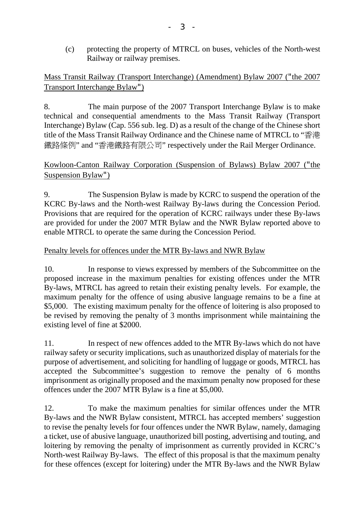(c) protecting the property of MTRCL on buses, vehicles of the North-west Railway or railway premises.

Mass Transit Railway (Transport Interchange) (Amendment) Bylaw 2007 ("the 2007 Transport Interchange Bylaw")

8. The main purpose of the 2007 Transport Interchange Bylaw is to make technical and consequential amendments to the Mass Transit Railway (Transport Interchange) Bylaw (Cap. 556 sub. leg. D) as a result of the change of the Chinese short title of the Mass Transit Railway Ordinance and the Chinese name of MTRCL to "香港 鐵路條例" and "香港鐵路有限公司" respectively under the Rail Merger Ordinance.

# Kowloon-Canton Railway Corporation (Suspension of Bylaws) Bylaw 2007 ("the Suspension Bylaw")

9. The Suspension Bylaw is made by KCRC to suspend the operation of the KCRC By-laws and the North-west Railway By-laws during the Concession Period. Provisions that are required for the operation of KCRC railways under these By-laws are provided for under the 2007 MTR Bylaw and the NWR Bylaw reported above to enable MTRCL to operate the same during the Concession Period.

# Penalty levels for offences under the MTR By-laws and NWR Bylaw

10. In response to views expressed by members of the Subcommittee on the proposed increase in the maximum penalties for existing offences under the MTR By-laws, MTRCL has agreed to retain their existing penalty levels. For example, the maximum penalty for the offence of using abusive language remains to be a fine at \$5,000. The existing maximum penalty for the offence of loitering is also proposed to be revised by removing the penalty of 3 months imprisonment while maintaining the existing level of fine at \$2000.

11. In respect of new offences added to the MTR By-laws which do not have railway safety or security implications, such as unauthorized display of materials for the purpose of advertisement, and soliciting for handling of luggage or goods, MTRCL has accepted the Subcommittee's suggestion to remove the penalty of 6 months imprisonment as originally proposed and the maximum penalty now proposed for these offences under the 2007 MTR Bylaw is a fine at \$5,000.

12. To make the maximum penalties for similar offences under the MTR By-laws and the NWR Bylaw consistent, MTRCL has accepted members' suggestion to revise the penalty levels for four offences under the NWR Bylaw, namely, damaging a ticket, use of abusive language, unauthorized bill posting, advertising and touting, and loitering by removing the penalty of imprisonment as currently provided in KCRC's North-west Railway By-laws. The effect of this proposal is that the maximum penalty for these offences (except for loitering) under the MTR By-laws and the NWR Bylaw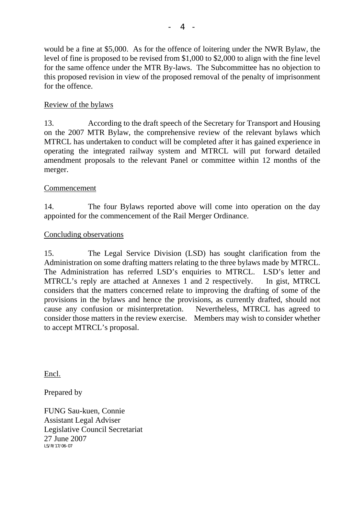would be a fine at \$5,000. As for the offence of loitering under the NWR Bylaw, the level of fine is proposed to be revised from \$1,000 to \$2,000 to align with the fine level for the same offence under the MTR By-laws. The Subcommittee has no objection to this proposed revision in view of the proposed removal of the penalty of imprisonment for the offence.

## Review of the bylaws

13. According to the draft speech of the Secretary for Transport and Housing on the 2007 MTR Bylaw, the comprehensive review of the relevant bylaws which MTRCL has undertaken to conduct will be completed after it has gained experience in operating the integrated railway system and MTRCL will put forward detailed amendment proposals to the relevant Panel or committee within 12 months of the merger.

# Commencement

14. The four Bylaws reported above will come into operation on the day appointed for the commencement of the Rail Merger Ordinance.

# Concluding observations

15. The Legal Service Division (LSD) has sought clarification from the Administration on some drafting matters relating to the three bylaws made by MTRCL. The Administration has referred LSD's enquiries to MTRCL. LSD's letter and MTRCL's reply are attached at Annexes 1 and 2 respectively. In gist, MTRCL considers that the matters concerned relate to improving the drafting of some of the provisions in the bylaws and hence the provisions, as currently drafted, should not cause any confusion or misinterpretation. Nevertheless, MTRCL has agreed to consider those matters in the review exercise. Members may wish to consider whether to accept MTRCL's proposal.

Encl.

Prepared by

FUNG Sau-kuen, Connie Assistant Legal Adviser Legislative Council Secretariat 27 June 2007 LS/R/17/06-07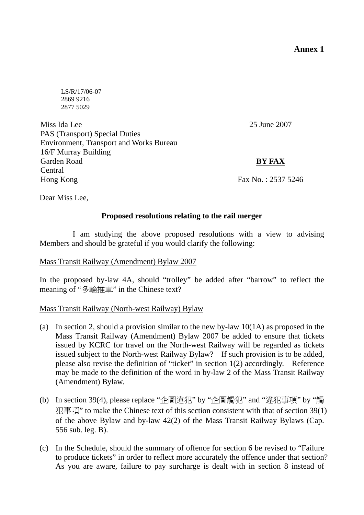**Annex 1** 

 LS/R/17/06-07 2869 9216 2877 5029

Miss Ida Lee PAS (Transport) Special Duties Environment, Transport and Works Bureau 16/F Murray Building Garden Road Central Hong Kong

25 June 2007

# **BY FAX**

Fax No. : 2537 5246

Dear Miss Lee,

### **Proposed resolutions relating to the rail merger**

 I am studying the above proposed resolutions with a view to advising Members and should be grateful if you would clarify the following:

### Mass Transit Railway (Amendment) Bylaw 2007

In the proposed by-law 4A, should "trolley" be added after "barrow" to reflect the meaning of "多輪推車" in the Chinese text?

### Mass Transit Railway (North-west Railway) Bylaw

- (a) In section 2, should a provision similar to the new by-law 10(1A) as proposed in the Mass Transit Railway (Amendment) Bylaw 2007 be added to ensure that tickets issued by KCRC for travel on the North-west Railway will be regarded as tickets issued subject to the North-west Railway Bylaw? If such provision is to be added, please also revise the definition of "ticket" in section 1(2) accordingly. Reference may be made to the definition of the word in by-law 2 of the Mass Transit Railway (Amendment) Bylaw.
- (b) In section 39(4), please replace "企圖違犯" by "企圖觸犯" and "違犯事項" by "觸 犯事項" to make the Chinese text of this section consistent with that of section 39(1) of the above Bylaw and by-law 42(2) of the Mass Transit Railway Bylaws (Cap. 556 sub. leg. B).
- (c) In the Schedule, should the summary of offence for section 6 be revised to "Failure to produce tickets" in order to reflect more accurately the offence under that section? As you are aware, failure to pay surcharge is dealt with in section 8 instead of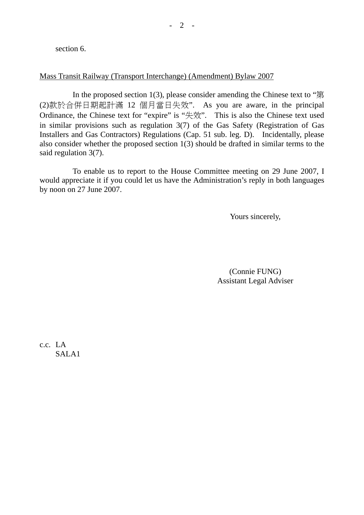section 6.

## Mass Transit Railway (Transport Interchange) (Amendment) Bylaw 2007

In the proposed section 1(3), please consider amending the Chinese text to " $\hat{\mathfrak{F}}$ (2)款於合併日期起計滿 12 個月當日失效". As you are aware, in the principal Ordinance, the Chinese text for "expire" is "失效". This is also the Chinese text used in similar provisions such as regulation 3(7) of the Gas Safety (Registration of Gas Installers and Gas Contractors) Regulations (Cap. 51 sub. leg. D). Incidentally, please also consider whether the proposed section 1(3) should be drafted in similar terms to the said regulation 3(7).

 To enable us to report to the House Committee meeting on 29 June 2007, I would appreciate it if you could let us have the Administration's reply in both languages by noon on 27 June 2007.

Yours sincerely,

(Connie FUNG) Assistant Legal Adviser

c.c. LA SALA1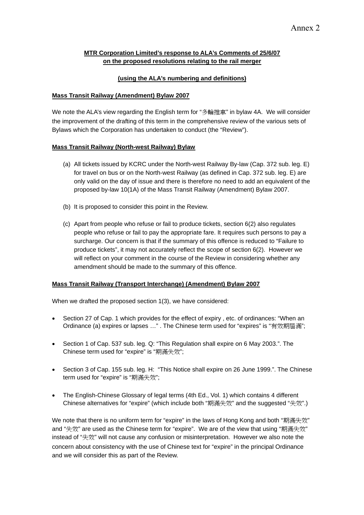### **MTR Corporation Limited's response to ALA's Comments of 25/6/07 on the proposed resolutions relating to the rail merger**

### **(using the ALA's numbering and definitions)**

#### **Mass Transit Railway (Amendment) Bylaw 2007**

We note the ALA's view regarding the English term for "多輪推車" in bylaw 4A. We will consider the improvement of the drafting of this term in the comprehensive review of the various sets of Bylaws which the Corporation has undertaken to conduct (the "Review").

#### **Mass Transit Railway (North-west Railway) Bylaw**

- (a) All tickets issued by KCRC under the North-west Railway By-law (Cap. 372 sub. leg. E) for travel on bus or on the North-west Railway (as defined in Cap. 372 sub. leg. E) are only valid on the day of issue and there is therefore no need to add an equivalent of the proposed by-law 10(1A) of the Mass Transit Railway (Amendment) Bylaw 2007.
- (b) It is proposed to consider this point in the Review.
- (c) Apart from people who refuse or fail to produce tickets, section 6(2) also regulates people who refuse or fail to pay the appropriate fare. It requires such persons to pay a surcharge. Our concern is that if the summary of this offence is reduced to "Failure to produce tickets", it may not accurately reflect the scope of section 6(2). However we will reflect on your comment in the course of the Review in considering whether any amendment should be made to the summary of this offence.

#### **Mass Transit Railway (Transport Interchange) (Amendment) Bylaw 2007**

When we drafted the proposed section 1(3), we have considered:

- Section 27 of Cap. 1 which provides for the effect of expiry , etc. of ordinances: "When an Ordinance (a) expires or lapses …" . The Chinese term used for "expires" is "有效期屆滿";
- Section 1 of Cap. 537 sub. leg. Q: "This Regulation shall expire on 6 May 2003.". The Chinese term used for "expire" is "期滿失效";
- Section 3 of Cap. 155 sub. leg. H: "This Notice shall expire on 26 June 1999.". The Chinese term used for "expire" is "期滿失效";
- The English-Chinese Glossary of legal terms (4th Ed., Vol. 1) which contains 4 different Chinese alternatives for "expire" (which include both "期滿失效" and the suggested "失效".)

We note that there is no uniform term for "expire" in the laws of Hong Kong and both "期滿失效" and "失效" are used as the Chinese term for "expire". We are of the view that using "期滿失效" instead of "失效" will not cause any confusion or misinterpretation. However we also note the concern about consistency with the use of Chinese text for "expire" in the principal Ordinance and we will consider this as part of the Review.